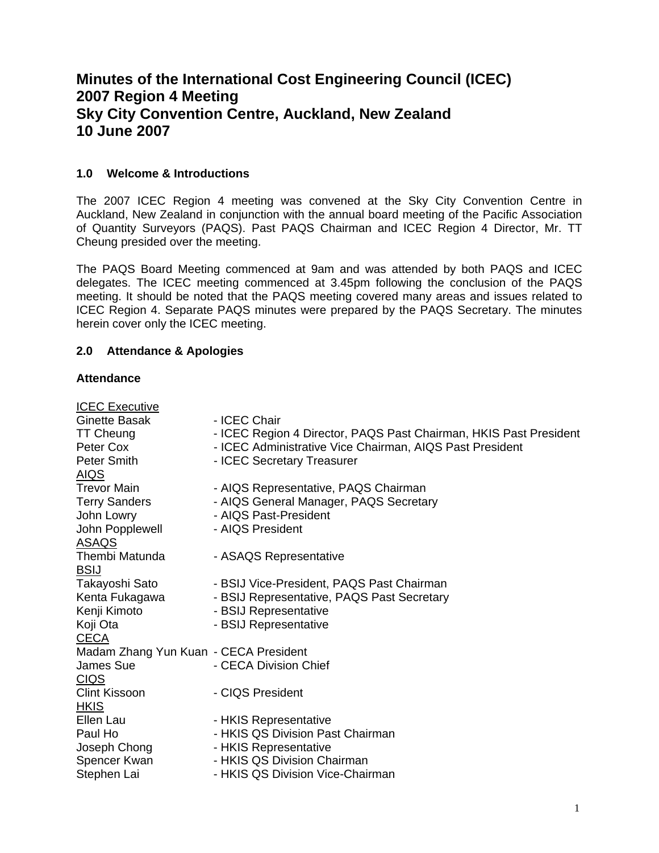# **Minutes of the International Cost Engineering Council (ICEC) 2007 Region 4 Meeting Sky City Convention Centre, Auckland, New Zealand 10 June 2007**

## **1.0 Welcome & Introductions**

The 2007 ICEC Region 4 meeting was convened at the Sky City Convention Centre in Auckland, New Zealand in conjunction with the annual board meeting of the Pacific Association of Quantity Surveyors (PAQS). Past PAQS Chairman and ICEC Region 4 Director, Mr. TT Cheung presided over the meeting.

The PAQS Board Meeting commenced at 9am and was attended by both PAQS and ICEC delegates. The ICEC meeting commenced at 3.45pm following the conclusion of the PAQS meeting. It should be noted that the PAQS meeting covered many areas and issues related to ICEC Region 4. Separate PAQS minutes were prepared by the PAQS Secretary. The minutes herein cover only the ICEC meeting.

## **2.0 Attendance & Apologies**

## **Attendance**

| <b>ICEC Executive</b>                 |                                                                   |
|---------------------------------------|-------------------------------------------------------------------|
| Ginette Basak                         | - ICEC Chair                                                      |
| <b>TT Cheung</b>                      | - ICEC Region 4 Director, PAQS Past Chairman, HKIS Past President |
| Peter Cox                             | - ICEC Administrative Vice Chairman, AIQS Past President          |
| Peter Smith                           | - ICEC Secretary Treasurer                                        |
| <u>AIQS</u>                           |                                                                   |
| <b>Trevor Main</b>                    | - AIQS Representative, PAQS Chairman                              |
| <b>Terry Sanders</b>                  | - AIQS General Manager, PAQS Secretary                            |
| John Lowry                            | - AIQS Past-President                                             |
| John Popplewell                       | - AIQS President                                                  |
| ASAQS                                 |                                                                   |
| Thembi Matunda                        | - ASAQS Representative                                            |
| <b>BSIJ</b>                           |                                                                   |
| Takayoshi Sato                        | - BSIJ Vice-President, PAQS Past Chairman                         |
| Kenta Fukagawa                        | - BSIJ Representative, PAQS Past Secretary                        |
| Kenji Kimoto                          | - BSIJ Representative                                             |
| Koji Ota                              | - BSIJ Representative                                             |
| <b>CECA</b>                           |                                                                   |
| Madam Zhang Yun Kuan - CECA President |                                                                   |
| James Sue                             | - CECA Division Chief                                             |
| <u>CIQS</u>                           |                                                                   |
| <b>Clint Kissoon</b>                  | - CIQS President                                                  |
| <b>HKIS</b>                           |                                                                   |
| Ellen Lau                             | - HKIS Representative                                             |
| Paul Ho                               | - HKIS QS Division Past Chairman                                  |
| Joseph Chong                          | - HKIS Representative                                             |
| Spencer Kwan                          | - HKIS QS Division Chairman                                       |
| Stephen Lai                           | - HKIS QS Division Vice-Chairman                                  |
|                                       |                                                                   |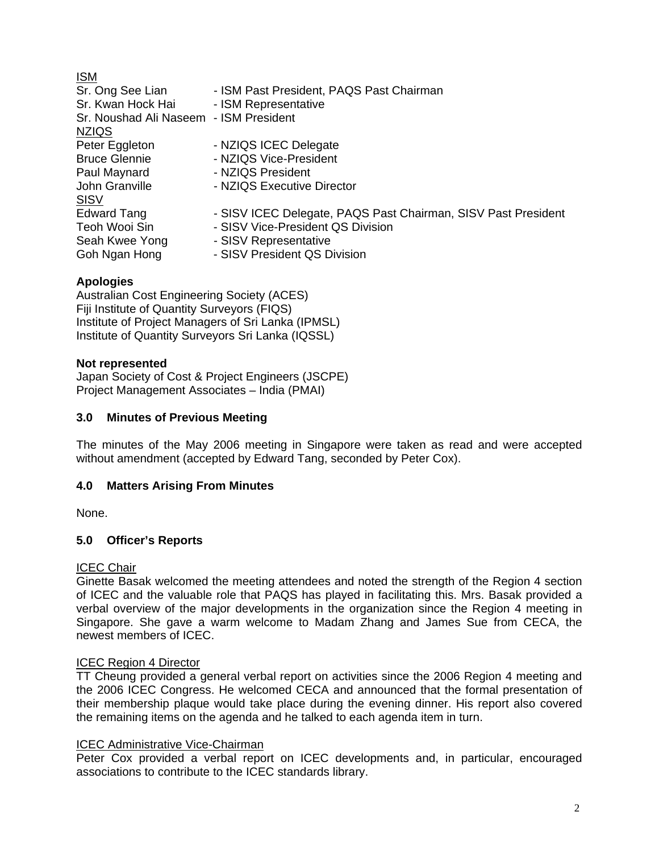| <u>ISM</u>                             |                                                               |
|----------------------------------------|---------------------------------------------------------------|
| Sr. Ong See Lian                       | - ISM Past President, PAQS Past Chairman                      |
| Sr. Kwan Hock Hai                      | - ISM Representative                                          |
| Sr. Noushad Ali Naseem - ISM President |                                                               |
| <b>NZIQS</b>                           |                                                               |
| Peter Eggleton                         | - NZIQS ICEC Delegate                                         |
| <b>Bruce Glennie</b>                   | - NZIQS Vice-President                                        |
| Paul Maynard                           | - NZIQS President                                             |
| John Granville                         | - NZIQS Executive Director                                    |
| <b>SISV</b>                            |                                                               |
| <b>Edward Tang</b>                     | - SISV ICEC Delegate, PAQS Past Chairman, SISV Past President |
| Teoh Wooi Sin                          | - SISV Vice-President QS Division                             |
| Seah Kwee Yong                         | - SISV Representative                                         |
| Goh Ngan Hong                          | - SISV President QS Division                                  |

### **Apologies**

Australian Cost Engineering Society (ACES) Fiji Institute of Quantity Surveyors (FIQS) Institute of Project Managers of Sri Lanka (IPMSL) Institute of Quantity Surveyors Sri Lanka (IQSSL)

### **Not represented**

Japan Society of Cost & Project Engineers (JSCPE) Project Management Associates – India (PMAI)

### **3.0 Minutes of Previous Meeting**

The minutes of the May 2006 meeting in Singapore were taken as read and were accepted without amendment (accepted by Edward Tang, seconded by Peter Cox).

### **4.0 Matters Arising From Minutes**

None.

### **5.0 Officer's Reports**

### ICEC Chair

Ginette Basak welcomed the meeting attendees and noted the strength of the Region 4 section of ICEC and the valuable role that PAQS has played in facilitating this. Mrs. Basak provided a verbal overview of the major developments in the organization since the Region 4 meeting in Singapore. She gave a warm welcome to Madam Zhang and James Sue from CECA, the newest members of ICEC.

### ICEC Region 4 Director

TT Cheung provided a general verbal report on activities since the 2006 Region 4 meeting and the 2006 ICEC Congress. He welcomed CECA and announced that the formal presentation of their membership plaque would take place during the evening dinner. His report also covered the remaining items on the agenda and he talked to each agenda item in turn.

### ICEC Administrative Vice-Chairman

Peter Cox provided a verbal report on ICEC developments and, in particular, encouraged associations to contribute to the ICEC standards library.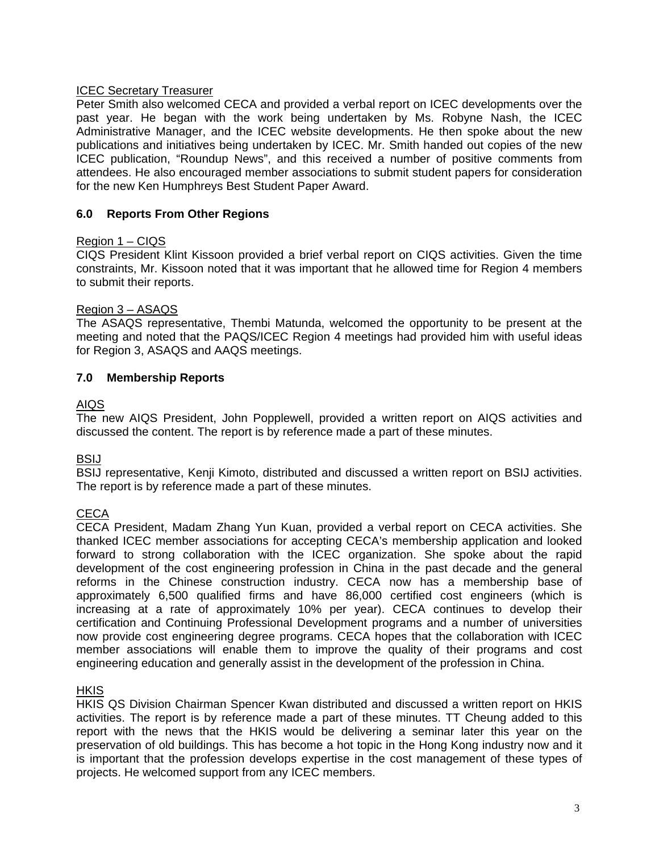### ICEC Secretary Treasurer

Peter Smith also welcomed CECA and provided a verbal report on ICEC developments over the past year. He began with the work being undertaken by Ms. Robyne Nash, the ICEC Administrative Manager, and the ICEC website developments. He then spoke about the new publications and initiatives being undertaken by ICEC. Mr. Smith handed out copies of the new ICEC publication, "Roundup News", and this received a number of positive comments from attendees. He also encouraged member associations to submit student papers for consideration for the new Ken Humphreys Best Student Paper Award.

## **6.0 Reports From Other Regions**

### Region 1 – CIQS

CIQS President Klint Kissoon provided a brief verbal report on CIQS activities. Given the time constraints, Mr. Kissoon noted that it was important that he allowed time for Region 4 members to submit their reports.

### Region 3 – ASAQS

The ASAQS representative, Thembi Matunda, welcomed the opportunity to be present at the meeting and noted that the PAQS/ICEC Region 4 meetings had provided him with useful ideas for Region 3, ASAQS and AAQS meetings.

### **7.0 Membership Reports**

### AIQS

The new AIQS President, John Popplewell, provided a written report on AIQS activities and discussed the content. The report is by reference made a part of these minutes.

BSIJ

BSIJ representative, Kenji Kimoto, distributed and discussed a written report on BSIJ activities. The report is by reference made a part of these minutes.

### **CECA**

CECA President, Madam Zhang Yun Kuan, provided a verbal report on CECA activities. She thanked ICEC member associations for accepting CECA's membership application and looked forward to strong collaboration with the ICEC organization. She spoke about the rapid development of the cost engineering profession in China in the past decade and the general reforms in the Chinese construction industry. CECA now has a membership base of approximately 6,500 qualified firms and have 86,000 certified cost engineers (which is increasing at a rate of approximately 10% per year). CECA continues to develop their certification and Continuing Professional Development programs and a number of universities now provide cost engineering degree programs. CECA hopes that the collaboration with ICEC member associations will enable them to improve the quality of their programs and cost engineering education and generally assist in the development of the profession in China.

**HKIS** 

HKIS QS Division Chairman Spencer Kwan distributed and discussed a written report on HKIS activities. The report is by reference made a part of these minutes. TT Cheung added to this report with the news that the HKIS would be delivering a seminar later this year on the preservation of old buildings. This has become a hot topic in the Hong Kong industry now and it is important that the profession develops expertise in the cost management of these types of projects. He welcomed support from any ICEC members.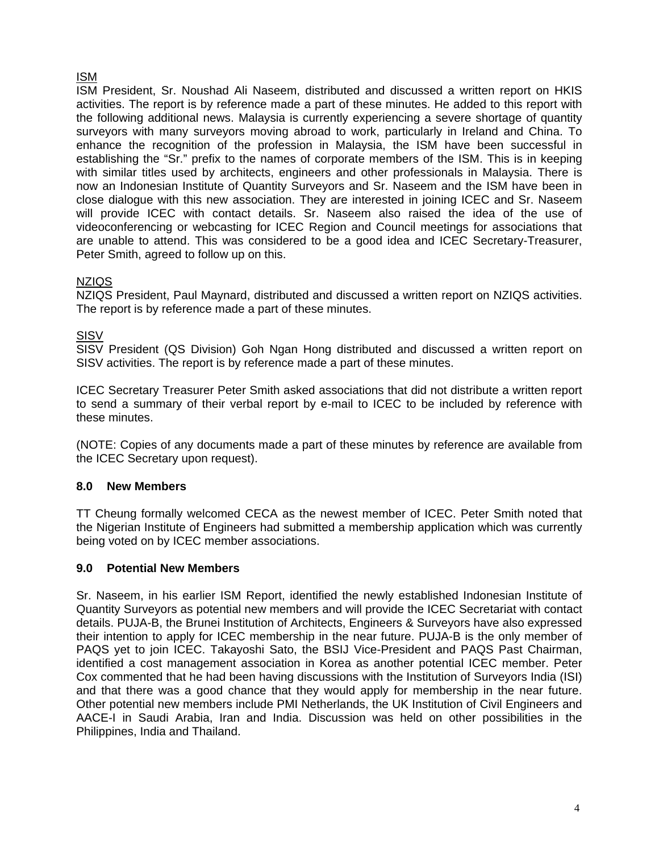## ISM

ISM President, Sr. Noushad Ali Naseem, distributed and discussed a written report on HKIS activities. The report is by reference made a part of these minutes. He added to this report with the following additional news. Malaysia is currently experiencing a severe shortage of quantity surveyors with many surveyors moving abroad to work, particularly in Ireland and China. To enhance the recognition of the profession in Malaysia, the ISM have been successful in establishing the "Sr." prefix to the names of corporate members of the ISM. This is in keeping with similar titles used by architects, engineers and other professionals in Malaysia. There is now an Indonesian Institute of Quantity Surveyors and Sr. Naseem and the ISM have been in close dialogue with this new association. They are interested in joining ICEC and Sr. Naseem will provide ICEC with contact details. Sr. Naseem also raised the idea of the use of videoconferencing or webcasting for ICEC Region and Council meetings for associations that are unable to attend. This was considered to be a good idea and ICEC Secretary-Treasurer, Peter Smith, agreed to follow up on this.

## **NZIQS**

NZIQS President, Paul Maynard, distributed and discussed a written report on NZIQS activities. The report is by reference made a part of these minutes.

## **SISV**

SISV President (QS Division) Goh Ngan Hong distributed and discussed a written report on SISV activities. The report is by reference made a part of these minutes.

ICEC Secretary Treasurer Peter Smith asked associations that did not distribute a written report to send a summary of their verbal report by e-mail to ICEC to be included by reference with these minutes.

(NOTE: Copies of any documents made a part of these minutes by reference are available from the ICEC Secretary upon request).

## **8.0 New Members**

TT Cheung formally welcomed CECA as the newest member of ICEC. Peter Smith noted that the Nigerian Institute of Engineers had submitted a membership application which was currently being voted on by ICEC member associations.

## **9.0 Potential New Members**

Sr. Naseem, in his earlier ISM Report, identified the newly established Indonesian Institute of Quantity Surveyors as potential new members and will provide the ICEC Secretariat with contact details. PUJA-B, the Brunei Institution of Architects, Engineers & Surveyors have also expressed their intention to apply for ICEC membership in the near future. PUJA-B is the only member of PAQS yet to join ICEC. Takayoshi Sato, the BSIJ Vice-President and PAQS Past Chairman, identified a cost management association in Korea as another potential ICEC member. Peter Cox commented that he had been having discussions with the Institution of Surveyors India (ISI) and that there was a good chance that they would apply for membership in the near future. Other potential new members include PMI Netherlands, the UK Institution of Civil Engineers and AACE-I in Saudi Arabia, Iran and India. Discussion was held on other possibilities in the Philippines, India and Thailand.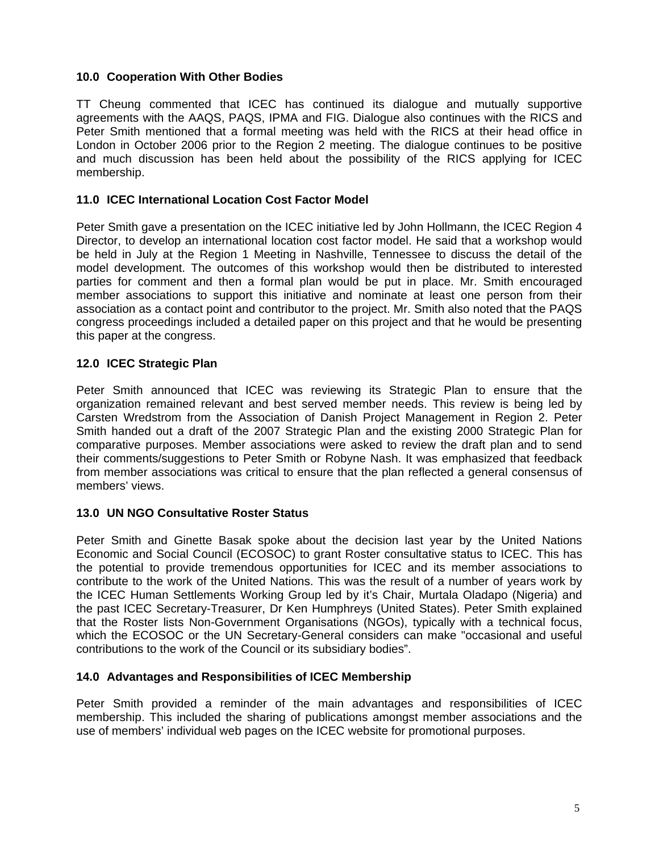### **10.0 Cooperation With Other Bodies**

TT Cheung commented that ICEC has continued its dialogue and mutually supportive agreements with the AAQS, PAQS, IPMA and FIG. Dialogue also continues with the RICS and Peter Smith mentioned that a formal meeting was held with the RICS at their head office in London in October 2006 prior to the Region 2 meeting. The dialogue continues to be positive and much discussion has been held about the possibility of the RICS applying for ICEC membership.

### **11.0 ICEC International Location Cost Factor Model**

Peter Smith gave a presentation on the ICEC initiative led by John Hollmann, the ICEC Region 4 Director, to develop an international location cost factor model. He said that a workshop would be held in July at the Region 1 Meeting in Nashville, Tennessee to discuss the detail of the model development. The outcomes of this workshop would then be distributed to interested parties for comment and then a formal plan would be put in place. Mr. Smith encouraged member associations to support this initiative and nominate at least one person from their association as a contact point and contributor to the project. Mr. Smith also noted that the PAQS congress proceedings included a detailed paper on this project and that he would be presenting this paper at the congress.

## **12.0 ICEC Strategic Plan**

Peter Smith announced that ICEC was reviewing its Strategic Plan to ensure that the organization remained relevant and best served member needs. This review is being led by Carsten Wredstrom from the Association of Danish Project Management in Region 2. Peter Smith handed out a draft of the 2007 Strategic Plan and the existing 2000 Strategic Plan for comparative purposes. Member associations were asked to review the draft plan and to send their comments/suggestions to Peter Smith or Robyne Nash. It was emphasized that feedback from member associations was critical to ensure that the plan reflected a general consensus of members' views.

### **13.0 UN NGO Consultative Roster Status**

Peter Smith and Ginette Basak spoke about the decision last year by the United Nations Economic and Social Council (ECOSOC) to grant Roster consultative status to ICEC. This has the potential to provide tremendous opportunities for ICEC and its member associations to contribute to the work of the United Nations. This was the result of a number of years work by the ICEC Human Settlements Working Group led by it's Chair, Murtala Oladapo (Nigeria) and the past ICEC Secretary-Treasurer, Dr Ken Humphreys (United States). Peter Smith explained that the Roster lists Non-Government Organisations (NGOs), typically with a technical focus, which the ECOSOC or the UN Secretary-General considers can make "occasional and useful contributions to the work of the Council or its subsidiary bodies".

### **14.0 Advantages and Responsibilities of ICEC Membership**

Peter Smith provided a reminder of the main advantages and responsibilities of ICEC membership. This included the sharing of publications amongst member associations and the use of members' individual web pages on the ICEC website for promotional purposes.